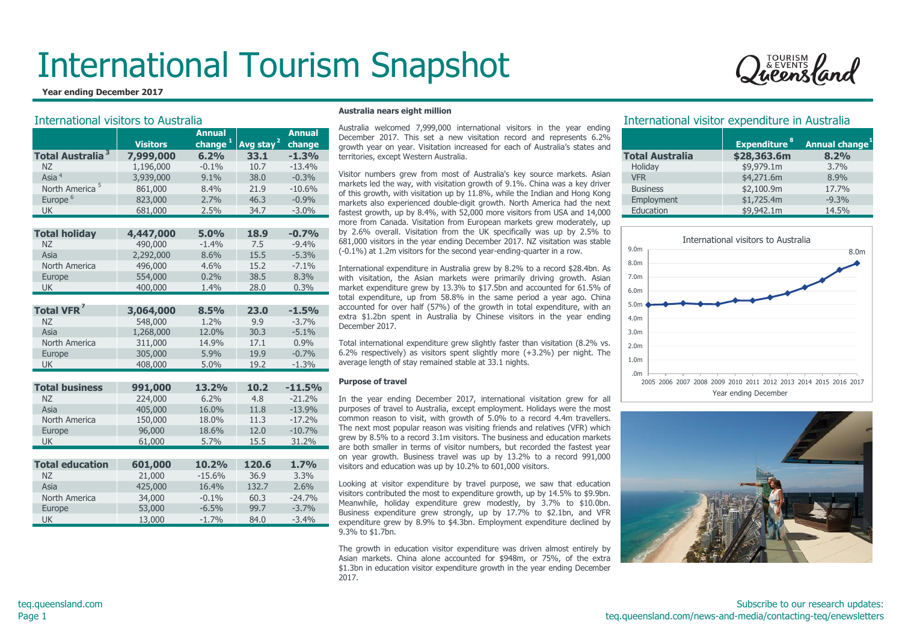

| TOURISM<br>& EVENTS |  |
|---------------------|--|
| Leensland           |  |

| וווט וועשו ליטו כושונטוש ושוועטו ושווע |                 |                     |                       |          | Australia welcomed 7,999,000 international visitors in the year ending                                                                                     | mentational visitor experience in Algoriana                 |                                     |                   |
|----------------------------------------|-----------------|---------------------|-----------------------|----------|------------------------------------------------------------------------------------------------------------------------------------------------------------|-------------------------------------------------------------|-------------------------------------|-------------------|
|                                        |                 | <b>Annual</b>       |                       | Annual   | December 2017. This set a new visitation record and represents 6.2%                                                                                        |                                                             |                                     |                   |
|                                        | <b>Visitors</b> | change <sup>+</sup> | Avg stay <sup>2</sup> | change   | growth year on year. Visitation increased for each of Australia's states and                                                                               |                                                             | <b>Expenditure</b>                  | <b>Annual cha</b> |
| <b>Total Australia<sup>3</sup></b>     | 7,999,000       | 6.2%                | 33.1                  | $-1.3%$  | territories, except Western Australia.                                                                                                                     | <b>Total Australia</b>                                      | \$28,363.6m                         | 8.2%              |
| <b>NZ</b>                              | 1,196,000       | $-0.1%$             | 10.7                  | $-13.4%$ |                                                                                                                                                            | Holiday                                                     | \$9,979.1m                          | 3.7%              |
| Asia <sup>4</sup>                      | 3,939,000       | 9.1%                | 38.0                  | $-0.3%$  | Visitor numbers grew from most of Australia's key source markets. Asian                                                                                    | <b>VFR</b>                                                  | \$4,271.6m                          | 8.9%              |
| North America <sup>5</sup>             | 861,000         | 8.4%                | 21.9                  | $-10.6%$ | markets led the way, with visitation growth of 9.1%. China was a key driver<br>of this growth, with visitation up by 11.8%, while the Indian and Hong Kong | <b>Business</b>                                             | \$2,100.9m                          | 17.7%             |
| Europe <sup>6</sup>                    | 823,000         | 2.7%                | 46.3                  | $-0.9%$  | markets also experienced double-digit growth. North America had the next                                                                                   | Employment                                                  | \$1,725.4m                          | $-9.3%$           |
| <b>UK</b>                              | 681,000         | 2.5%                | 34.7                  | $-3.0\%$ | fastest growth, up by 8.4%, with 52,000 more visitors from USA and 14,000                                                                                  | Education                                                   | \$9,942.1m                          | 14.5%             |
|                                        |                 |                     |                       |          | more from Canada. Visitation from European markets grew moderately, up                                                                                     |                                                             |                                     |                   |
| <b>Total holiday</b>                   | 4,447,000       | 5.0%                | 18.9                  | $-0.7%$  | by 2.6% overall. Visitation from the UK specifically was up by 2.5% to                                                                                     |                                                             |                                     |                   |
| <b>NZ</b>                              | 490,000         | $-1.4%$             | 7.5                   | $-9.4%$  | 681,000 visitors in the year ending December 2017. NZ visitation was stable                                                                                |                                                             | International visitors to Australia |                   |
| Asia                                   | 2,292,000       | 8.6%                | 15.5                  | $-5.3%$  | (-0.1%) at 1.2m visitors for the second year-ending-quarter in a row.                                                                                      | 9.0 <sub>m</sub>                                            |                                     |                   |
| North America                          | 496,000         | 4.6%                | 15.2                  | $-7.1%$  | International expenditure in Australia grew by 8.2% to a record \$28.4bn. As                                                                               | 8.0m                                                        |                                     |                   |
| Europe                                 | 554,000         | 0.2%                | 38.5                  | 8.3%     | with visitation, the Asian markets were primarily driving growth. Asian                                                                                    | 7.0m                                                        |                                     |                   |
| <b>UK</b>                              | 400,000         | 1.4%                | 28.0                  | 0.3%     | market expenditure grew by 13.3% to \$17.5bn and accounted for 61.5% of                                                                                    | 6.0 <sub>m</sub>                                            |                                     |                   |
|                                        |                 |                     |                       |          | total expenditure, up from 58.8% in the same period a year ago. China                                                                                      |                                                             |                                     |                   |
| <b>Total VFR</b>                       | 3,064,000       | 8.5%                | 23.0                  | $-1.5%$  | accounted for over half (57%) of the growth in total expenditure, with an                                                                                  | 5.0m                                                        |                                     |                   |
| <b>NZ</b>                              | 548,000         | 1.2%                | 9.9                   | $-3.7%$  | extra \$1.2bn spent in Australia by Chinese visitors in the year ending                                                                                    | 4.0 <sub>m</sub>                                            |                                     |                   |
| Asia                                   | 1,268,000       | 12.0%               | 30.3                  | $-5.1%$  | December 2017.                                                                                                                                             | 3.0 <sub>m</sub>                                            |                                     |                   |
| North America                          | 311,000         | 14.9%               | 17.1                  | 0.9%     | Total international expenditure grew slightly faster than visitation (8.2% vs.                                                                             |                                                             |                                     |                   |
| Europe                                 | 305,000         | 5.9%                | 19.9                  | $-0.7%$  | 6.2% respectively) as visitors spent slightly more (+3.2%) per night. The                                                                                  | 2.0 <sub>m</sub>                                            |                                     |                   |
| <b>UK</b>                              | 408,000         | 5.0%                | 19.2                  | $-1.3%$  | average length of stay remained stable at 33.1 nights.                                                                                                     | 1.0 <sub>m</sub>                                            |                                     |                   |
|                                        |                 |                     |                       |          |                                                                                                                                                            | .0 <sub>m</sub>                                             |                                     |                   |
| <b>Total business</b>                  | 991,000         | 13.2%               | 10.2                  | $-11.5%$ | <b>Purpose of travel</b>                                                                                                                                   | 2005 2006 2007 2008 2009 2010 2011 2012 2013 2014 2015 2016 |                                     |                   |
| <b>NZ</b>                              | 224,000         | 6.2%                | 4.8                   | $-21.2%$ | In the year ending December 2017, international visitation grew for all                                                                                    |                                                             | Year ending December                |                   |
| Asia                                   | 405,000         | 16.0%               | 11.8                  | $-13.9%$ | purposes of travel to Australia, except employment. Holidays were the most                                                                                 |                                                             |                                     |                   |
| North America                          | 150,000         | 18.0%               | 11.3                  | $-17.2%$ | common reason to visit, with growth of 5.0% to a record 4.4m travellers.                                                                                   |                                                             |                                     |                   |
| Europe                                 | 96,000          | 18.6%               | 12.0                  | $-10.7%$ | The next most popular reason was visiting friends and relatives (VFR) which                                                                                |                                                             |                                     |                   |
| <b>UK</b>                              | 61,000          | 5.7%                | 15.5                  | 31.2%    | grew by 8.5% to a record 3.1m visitors. The business and education markets                                                                                 |                                                             |                                     |                   |
|                                        |                 |                     |                       |          | are both smaller in terms of visitor numbers, but recorded the fastest year                                                                                |                                                             |                                     |                   |
|                                        |                 |                     |                       |          | on year growth. Business travel was up by 13.2% to a record 991,000                                                                                        |                                                             |                                     |                   |
| <b>Total education</b>                 | 601,000         | 10.2%               | 120.6                 | 1.7%     | visitors and education was up by 10.2% to 601,000 visitors.                                                                                                |                                                             |                                     |                   |
| NZ                                     | 21,000          | $-15.6%$            | 36.9                  | 3.3%     | Looking at visitor expenditure by travel purpose, we saw that education                                                                                    |                                                             |                                     |                   |
| Asia                                   | 425,000         | 16.4%               | 132.7                 | 2.6%     | visitors contributed the most to expenditure growth, up by 14.5% to \$9.9bn.                                                                               |                                                             |                                     |                   |
| North America                          | 34,000          | $-0.1%$             | 60.3                  | $-24.7%$ | Meanwhile, holiday expenditure grew modestly, by 3.7% to \$10.0bn.                                                                                         |                                                             |                                     |                   |
| Europe                                 | 53,000          | $-6.5%$             | 99.7                  | $-3.7%$  | Business expenditure grew strongly, up by 17.7% to \$2.1bn, and VFR                                                                                        |                                                             |                                     |                   |
| <b>UK</b>                              | 13,000          | $-1.7%$             | 84.0                  | $-3.4%$  | expenditure arew by 8.9% to \$4.3bn. Employment expenditure declined by                                                                                    |                                                             |                                     |                   |

#### **Australia nears eight million**

#### **Purpose of travel**

Looking at visitor expenditure by travel purpose, we saw that education visitors contributed the most to expenditure growth, up by 14.5% to \$9.9bn. Meanwhile, holiday expenditure grew modestly, by 3.7% to \$10.0bn. Business expenditure grew strongly, up by 17.7% to \$2.1bn, and VFR expenditure grew by 8.9% to \$4.3bn. Employment expenditure declined by 9.3% to \$1.7bn.

The growth in education visitor expenditure was driven almost entirely by Asian markets. China alone accounted for \$948m, or 75%, of the extra \$1.3bn in education visitor expenditure growth in the year ending December 2017.

### International visitors to Australia **International visitor expenditure in Australia** International visitor expenditure in Australia

|                        | Expenditure <sup>8</sup> | Annual change |
|------------------------|--------------------------|---------------|
| <b>Total Australia</b> | \$28,363.6m              | 8.2%          |
| Holiday                | \$9,979.1m               | 3.7%          |
| <b>VFR</b>             | \$4,271.6m               | 8.9%          |
| <b>Business</b>        | \$2,100.9m               | 17.7%         |
| Employment             | \$1,725.4m               | $-9.3%$       |
| Education              | \$9,942.1m               | 14.5%         |



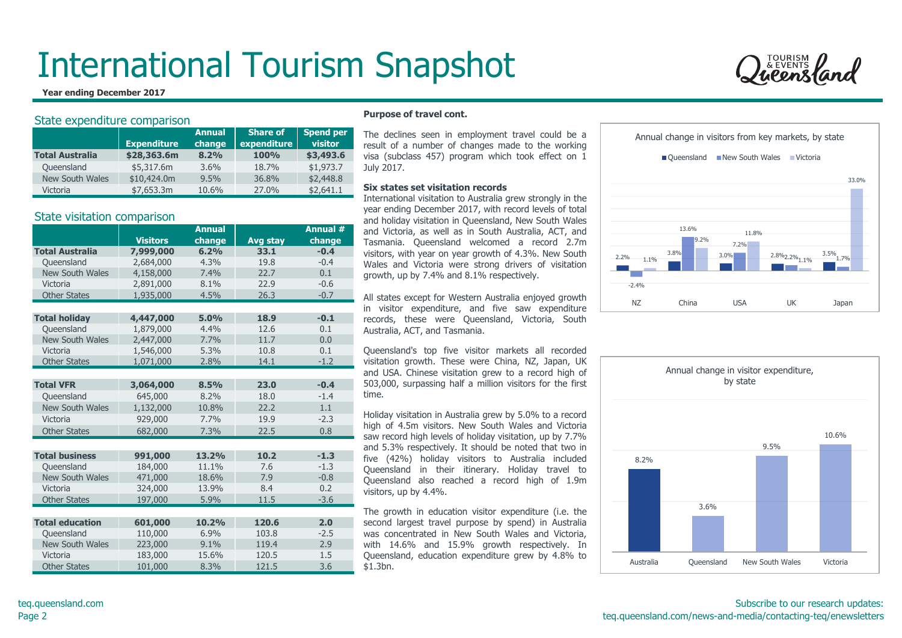#### **Year ending December 2017**

#### State expenditure comparison

|                        |                    | <b>Annual</b> | <b>Share of</b> | <b>Spend per</b> |
|------------------------|--------------------|---------------|-----------------|------------------|
|                        | <b>Expenditure</b> | change        | expenditure     | visitor          |
| <b>Total Australia</b> | \$28,363.6m        | 8.2%          | 100%            | \$3,493.6        |
| Queensland             | \$5,317.6m         | 3.6%          | 18.7%           | \$1,973.7        |
| <b>New South Wales</b> | \$10,424.0m        | 9.5%          | 36.8%           | \$2,448.8        |
| Victoria               | \$7.653.3m         | 10.6%         | 27.0%           | \$2,641.1        |

#### State visitation comparison

|                        |                 | <b>Annual</b> |                 | Annual # |
|------------------------|-----------------|---------------|-----------------|----------|
|                        | <b>Visitors</b> | change        | <b>Avg stay</b> | change   |
| <b>Total Australia</b> | 7,999,000       | 6.2%          | 33.1            | $-0.4$   |
| Queensland             | 2,684,000       | 4.3%          | 19.8            | $-0.4$   |
| New South Wales        | 4,158,000       | 7.4%          | 22.7            | 0.1      |
| Victoria               | 2,891,000       | 8.1%          | 22.9            | $-0.6$   |
| <b>Other States</b>    | 1,935,000       | 4.5%          | 26.3            | $-0.7$   |
|                        |                 |               |                 |          |
| <b>Total holiday</b>   | 4,447,000       | 5.0%          | 18.9            | $-0.1$   |
| Oueensland             | 1,879,000       | 4.4%          | 12.6            | 0.1      |
| <b>New South Wales</b> | 2,447,000       | 7.7%          | 11.7            | 0.0      |
| Victoria               | 1,546,000       | 5.3%          | 10.8            | 0.1      |
| <b>Other States</b>    | 1,071,000       | 2.8%          | 14.1            | $-1.2$   |
|                        |                 |               |                 |          |
| <b>Total VFR</b>       | 3,064,000       | 8.5%          | 23.0            | $-0.4$   |
| Queensland             | 645,000         | 8.2%          | 18.0            | $-1.4$   |
| <b>New South Wales</b> | 1,132,000       | 10.8%         | 22.2            | 1.1      |
| Victoria               | 929,000         | 7.7%          | 19.9            | $-2.3$   |
| <b>Other States</b>    | 682,000         | 7.3%          | 22.5            | 0.8      |
|                        |                 |               |                 |          |
| <b>Total business</b>  | 991,000         | 13.2%         | 10.2            | $-1.3$   |
| Oueensland             | 184,000         | 11.1%         | 7.6             | $-1.3$   |
| New South Wales        | 471,000         | 18.6%         | 7.9             | $-0.8$   |
| Victoria               | 324,000         | 13.9%         | 8.4             | 0.2      |
| <b>Other States</b>    | 197,000         | 5.9%          | 11.5            | $-3.6$   |
|                        |                 |               |                 |          |
| <b>Total education</b> | 601,000         | 10.2%         | 120.6           | 2.0      |
| Oueensland             | 110,000         | 6.9%          | 103.8           | $-2.5$   |
| <b>New South Wales</b> | 223,000         | 9.1%          | 119.4           | 2.9      |
| Victoria               | 183,000         | 15.6%         | 120.5           | 1.5      |
| <b>Other States</b>    | 101,000         | 8.3%          | 121.5           | 3.6      |

#### **Purpose of travel cont.**

The declines seen in employment travel could be a result of a number of changes made to the working visa (subclass 457) program which took effect on 1 July 2017.

#### **Six states set visitation records**

International visitation to Australia grew strongly in the year ending December 2017, with record levels of total and holiday visitation in Queensland, New South Wales and Victoria, as well as in South Australia, ACT, and Tasmania. Queensland welcomed a record 2.7m visitors, with year on year growth of 4.3%. New South Wales and Victoria were strong drivers of visitation growth, up by 7.4% and 8.1% respectively.

All states except for Western Australia enjoyed growth in visitor expenditure, and five saw expenditure records, these were Queensland, Victoria, South Australia, ACT, and Tasmania.

Queensland's top five visitor markets all recorded visitation growth. These were China, NZ, Japan, UK and USA. Chinese visitation grew to a record high of 503,000, surpassing half a million visitors for the first time.

Holiday visitation in Australia grew by 5.0% to a record high of 4.5m visitors. New South Wales and Victoria saw record high levels of holiday visitation, up by 7.7% and 5.3% respectively. It should be noted that two in five (42%) holiday visitors to Australia included Queensland in their itinerary. Holiday travel to Queensland also reached a record high of 1.9m visitors, up by 4.4%.

The growth in education visitor expenditure (i.e. the second largest travel purpose by spend) in Australia was concentrated in New South Wales and Victoria, with 14.6% and 15.9% growth respectively. In Queensland, education expenditure grew by 4.8% to \$1.3bn.





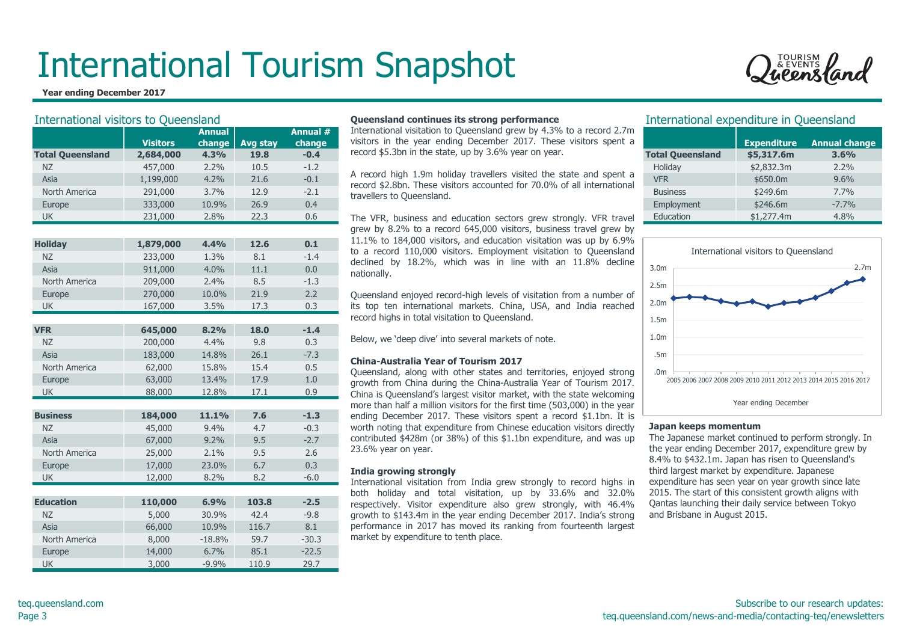#### **Year ending December 2017**



| <b>International visitors to Queensland</b> |                 |               |          |          | Queensland continues its strong performance                                                                                               |                                                                                                     | International expenditure in Queensland                     |                  |  |  |
|---------------------------------------------|-----------------|---------------|----------|----------|-------------------------------------------------------------------------------------------------------------------------------------------|-----------------------------------------------------------------------------------------------------|-------------------------------------------------------------|------------------|--|--|
|                                             |                 | <b>Annual</b> |          | Annual # | International visitation to Queensland grew by 4.3% to a record 2.7m                                                                      |                                                                                                     |                                                             |                  |  |  |
|                                             | <b>Visitors</b> | change        | Avg stay | change   | visitors in the year ending December 2017. These visitors spent a<br>record \$5.3bn in the state, up by 3.6% year on year.                |                                                                                                     | <b>Expenditure</b>                                          | <b>Annual ch</b> |  |  |
| <b>Total Queensland</b>                     | 2,684,000       | 4.3%          | 19.8     | $-0.4$   |                                                                                                                                           | <b>Total Queensland</b>                                                                             | \$5,317.6m                                                  | 3.6%             |  |  |
| <b>NZ</b>                                   | 457,000         | 2.2%          | 10.5     | $-1.2$   | A record high 1.9m holiday travellers visited the state and spent a                                                                       | Holiday                                                                                             | \$2,832.3m                                                  | 2.2%             |  |  |
| Asia                                        | 1,199,000       | 4.2%          | 21.6     | $-0.1$   | record \$2.8bn. These visitors accounted for 70.0% of all international                                                                   | <b>VFR</b>                                                                                          | \$650.0m                                                    | 9.6%             |  |  |
| North America                               | 291,000         | 3.7%          | 12.9     | $-2.1$   | travellers to Queensland.                                                                                                                 | <b>Business</b>                                                                                     | \$249.6m                                                    | 7.7%             |  |  |
| Europe                                      | 333,000         | 10.9%         | 26.9     | 0.4      |                                                                                                                                           | Employment                                                                                          | \$246.6m                                                    | $-7.7%$          |  |  |
| <b>UK</b>                                   | 231,000         | 2.8%          | 22.3     | 0.6      | The VFR, business and education sectors grew strongly. VFR travel                                                                         | Education                                                                                           | \$1,277.4m                                                  | 4.8%             |  |  |
|                                             |                 |               |          |          | grew by 8.2% to a record 645,000 visitors, business travel grew by                                                                        |                                                                                                     |                                                             |                  |  |  |
| <b>Holiday</b>                              | 1,879,000       | 4.4%          | 12.6     | 0.1      | 11.1% to 184,000 visitors, and education visitation was up by 6.9%                                                                        |                                                                                                     |                                                             |                  |  |  |
| <b>NZ</b>                                   | 233,000         | 1.3%          | 8.1      | $-1.4$   | to a record 110,000 visitors. Employment visitation to Queensland                                                                         |                                                                                                     | International visitors to Queensland                        |                  |  |  |
| Asia                                        | 911,000         | 4.0%          | 11.1     | 0.0      | declined by 18.2%, which was in line with an 11.8% decline                                                                                | 3.0 <sub>m</sub>                                                                                    |                                                             |                  |  |  |
| North America                               | 209,000         | 2.4%          | 8.5      | $-1.3$   | nationally.                                                                                                                               | 2.5m                                                                                                |                                                             |                  |  |  |
| Europe                                      | 270,000         | 10.0%         | 21.9     | 2.2      | Queensland enjoyed record-high levels of visitation from a number of                                                                      |                                                                                                     |                                                             |                  |  |  |
| <b>UK</b>                                   | 167,000         | 3.5%          | 17.3     | 0.3      | its top ten international markets. China, USA, and India reached                                                                          | 2.0 <sub>m</sub>                                                                                    |                                                             |                  |  |  |
|                                             |                 |               |          |          | record highs in total visitation to Queensland.                                                                                           | 1.5 <sub>m</sub>                                                                                    |                                                             |                  |  |  |
| <b>VFR</b>                                  | 645,000         | 8.2%          | 18.0     | $-1.4$   |                                                                                                                                           |                                                                                                     |                                                             |                  |  |  |
| <b>NZ</b>                                   | 200,000         | 4.4%          | 9.8      | 0.3      | Below, we 'deep dive' into several markets of note.                                                                                       | 1.0 <sub>m</sub>                                                                                    |                                                             |                  |  |  |
| Asia                                        | 183,000         | 14.8%         | 26.1     | $-7.3$   |                                                                                                                                           | .5m                                                                                                 |                                                             |                  |  |  |
| North America                               | 62,000          | 15.8%         | 15.4     | 0.5      | <b>China-Australia Year of Tourism 2017</b>                                                                                               |                                                                                                     |                                                             |                  |  |  |
| Europe                                      | 63,000          | 13.4%         | 17.9     | $1.0\,$  | Queensland, along with other states and territories, enjoyed strong<br>growth from China during the China-Australia Year of Tourism 2017. | .0m                                                                                                 | 2005 2006 2007 2008 2009 2010 2011 2012 2013 2014 2015 2016 |                  |  |  |
| <b>UK</b>                                   | 88,000          | 12.8%         | 17.1     | 0.9      | China is Queensland's largest visitor market, with the state welcoming                                                                    |                                                                                                     |                                                             |                  |  |  |
|                                             |                 |               |          |          | more than half a million visitors for the first time (503,000) in the year                                                                |                                                                                                     | Year ending December                                        |                  |  |  |
| <b>Business</b>                             | 184,000         | 11.1%         | 7.6      | $-1.3$   | ending December 2017. These visitors spent a record \$1.1bn. It is                                                                        |                                                                                                     |                                                             |                  |  |  |
| <b>NZ</b>                                   | 45,000          | 9.4%          | 4.7      | $-0.3$   | worth noting that expenditure from Chinese education visitors directly                                                                    | Japan keeps momentum                                                                                |                                                             |                  |  |  |
| Asia                                        | 67,000          | 9.2%          | 9.5      | $-2.7$   | contributed \$428m (or 38%) of this \$1.1bn expenditure, and was up                                                                       | The Japanese market continued to perform strongly                                                   |                                                             |                  |  |  |
| North America                               | 25,000          | 2.1%          | 9.5      | 2.6      | 23.6% year on year.                                                                                                                       | the year ending December 2017, expenditure grew                                                     |                                                             |                  |  |  |
| Europe                                      | 17,000          | 23.0%         | 6.7      | 0.3      |                                                                                                                                           | 8.4% to \$432.1m. Japan has risen to Queensland's                                                   |                                                             |                  |  |  |
| <b>UK</b>                                   | 12,000          | 8.2%          | 8.2      | $-6.0$   | India growing strongly<br>International visitation from India grew strongly to record highs in                                            | third largest market by expenditure. Japanese<br>expenditure has seen year on year growth since lat |                                                             |                  |  |  |
|                                             |                 |               |          |          | both holiday and total visitation, up by 33.6% and 32.0%                                                                                  | 2015. The start of this consistent growth aligns witl                                               |                                                             |                  |  |  |
| <b>Education</b>                            | 110,000         | 6.9%          | 103.8    | $-2.5$   | respectively. Visitor expenditure also grew strongly, with 46.4%                                                                          | Qantas launching their daily service between Tokyo                                                  |                                                             |                  |  |  |
| <b>NZ</b>                                   | 5,000           | 30.9%         | 42.4     | $-9.8$   | growth to \$143.4m in the year ending December 2017. India's strong                                                                       | and Brisbane in August 2015.                                                                        |                                                             |                  |  |  |
| Asia                                        | 66,000          | 10.9%         | 116.7    | 8.1      | performance in 2017 has moved its ranking from fourteenth largest                                                                         |                                                                                                     |                                                             |                  |  |  |
| North America                               | 8,000           | $-18.8%$      | 59.7     | $-30.3$  | market by expenditure to tenth place.                                                                                                     |                                                                                                     |                                                             |                  |  |  |
| Europe                                      | 14,000          | 6.7%          | 85.1     | $-22.5$  |                                                                                                                                           |                                                                                                     |                                                             |                  |  |  |
| <b>UK</b>                                   | 3,000           | $-9.9%$       | 110.9    | 29.7     |                                                                                                                                           |                                                                                                     |                                                             |                  |  |  |

#### **Queensland continues its strong performance**

#### **China-Australia Year of Tourism 2017**

#### **India growing strongly**

#### International expenditure in Queensland

|                         | <b>Expenditure</b> | <b>Annual change</b> |
|-------------------------|--------------------|----------------------|
| <b>Total Queensland</b> | \$5,317.6m         | 3.6%                 |
| Holiday                 | \$2,832.3m         | $2.2\%$              |
| <b>VFR</b>              | \$650.0m           | 9.6%                 |
| <b>Business</b>         | \$249.6m           | 7.7%                 |
| Employment              | \$246.6m           | $-7.7%$              |
| Education               | \$1,277.4m         | 4.8%                 |



#### **Japan keeps momentum**

The Japanese market continued to perform strongly. In the year ending December 2017, expenditure grew by 8.4% to \$432.1m. Japan has risen to Queensland's third largest market by expenditure. Japanese expenditure has seen year on year growth since late 2015. The start of this consistent growth aligns with Qantas launching their daily service between Tokyo and Brisbane in August 2015.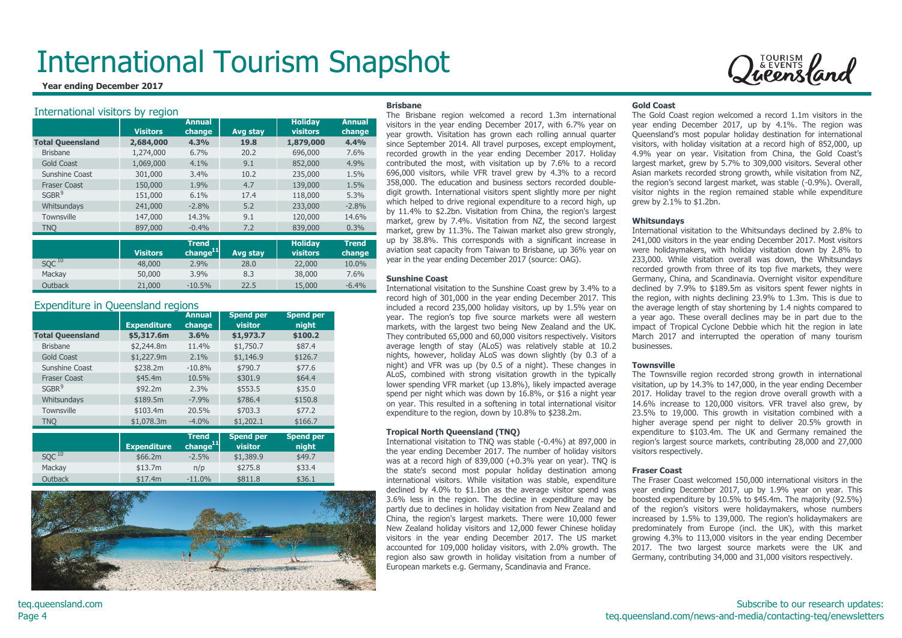**Year ending December 2017**

#### International visitors by region

|                         |                 | <b>Annual</b>        |          | <b>Holiday</b>  | <b>Annual</b> |
|-------------------------|-----------------|----------------------|----------|-----------------|---------------|
|                         | <b>Visitors</b> | change               | Avg stay | <b>visitors</b> | change        |
| <b>Total Queensland</b> | 2,684,000       | 4.3%                 | 19.8     | 1,879,000       | 4.4%          |
| <b>Brisbane</b>         | 1,274,000       | 6.7%                 | 20.2     | 696,000         | 7.6%          |
| <b>Gold Coast</b>       | 1,069,000       | 4.1%                 | 9.1      | 852,000         | 4.9%          |
| Sunshine Coast          | 301,000         | 3.4%                 | 10.2     | 235,000         | 1.5%          |
| <b>Fraser Coast</b>     | 150,000         | 1.9%                 | 4.7      | 139,000         | 1.5%          |
| SGBR <sup>9</sup>       | 151,000         | 6.1%                 | 17.4     | 118,000         | 5.3%          |
| Whitsundays             | 241,000         | $-2.8%$              | 5.2      | 233,000         | $-2.8%$       |
| <b>Townsville</b>       | 147,000         | 14.3%                | 9.1      | 120,000         | 14.6%         |
| <b>TNO</b>              | 897,000         | $-0.4%$              | 7.2      | 839,000         | 0.3%          |
|                         |                 |                      |          |                 |               |
|                         |                 | <b>Trend</b>         |          | <b>Holiday</b>  | <b>Trend</b>  |
|                         | <b>Visitors</b> | change <sup>11</sup> | Avg stay | visitors        | change        |
| $SQC$ <sup>10</sup>     | 48,000          | 2.9%                 | 28.0     | 22,000          | 10.0%         |
| Mackay                  | 50,000          | 3.9%                 | 8.3      | 38,000          | 7.6%          |
| Outback                 | 21,000          | $-10.5%$             | 22.5     | 15,000          | $-6.4%$       |

#### Expenditure in Queensland regions

|                         | <b>Expenditure</b> | <b>Annual</b><br>change              | <b>Spend per</b><br>visitor | <b>Spend per</b><br>night |
|-------------------------|--------------------|--------------------------------------|-----------------------------|---------------------------|
| <b>Total Queensland</b> | \$5,317.6m         | 3.6%                                 | \$1,973.7                   | \$100.2                   |
| <b>Brisbane</b>         | \$2,244.8m         | 11.4%                                | \$1,750.7                   | \$87.4                    |
| <b>Gold Coast</b>       | \$1,227.9m         | 2.1%                                 | \$1,146.9                   | \$126.7                   |
| Sunshine Coast          | \$238.2m           | $-10.8%$                             | \$790.7                     | \$77.6                    |
| <b>Fraser Coast</b>     | \$45.4m            | 10.5%                                | \$301.9                     | \$64.4                    |
| SGBR <sup>9</sup>       | \$92.2m            | 2.3%                                 | \$553.5                     | \$35.0                    |
| Whitsundays             | \$189.5m           | $-7.9%$                              | \$786.4                     | \$150.8                   |
| <b>Townsville</b>       | \$103.4m           | 20.5%                                | \$703.3                     | \$77.2                    |
| <b>TNO</b>              | \$1,078.3m         | $-4.0%$                              | \$1,202.1                   | \$166.7                   |
|                         |                    |                                      |                             |                           |
|                         | <b>Expenditure</b> | <b>Trend</b><br>change <sup>11</sup> | <b>Spend per</b><br>visitor | <b>Spend per</b><br>night |
| $SQC$ <sup>10</sup>     | \$66.2m\$          | $-2.5%$                              | \$1,389.9                   | \$49.7                    |
| Mackay                  | \$13.7m            | n/p                                  | \$275.8                     | \$33.4                    |
| Outback                 | \$17.4m            | $-11.0%$                             | \$811.8                     | \$36.1                    |



#### **Brisbane**

The Brisbane region welcomed a record 1.3m international visitors in the year ending December 2017, with 6.7% year on year growth. Visitation has grown each rolling annual quarter since September 2014. All travel purposes, except employment, recorded growth in the year ending December 2017. Holiday contributed the most, with visitation up by 7.6% to a record 696,000 visitors, while VFR travel grew by 4.3% to a record 358,000. The education and business sectors recorded doubledigit growth. International visitors spent slightly more per night which helped to drive regional expenditure to a record high, up by 11.4% to \$2.2bn. Visitation from China, the region's largest market, grew by 7.4%. Visitation from NZ, the second largest market, grew by 11.3%. The Taiwan market also grew strongly, up by 38.8%. This corresponds with a significant increase in aviation seat capacity from Taiwan to Brisbane, up 36% year on year in the year ending December 2017 (source: OAG).

#### **Sunshine Coast**

International visitation to the Sunshine Coast grew by 3.4% to a record high of 301,000 in the year ending December 2017. This included a record 235,000 holiday visitors, up by 1.5% year on year. The region's top five source markets were all western markets, with the largest two being New Zealand and the UK. They contributed 65,000 and 60,000 visitors respectively. Visitors average length of stay (ALoS) was relatively stable at 10.2 nights, however, holiday ALoS was down slightly (by 0.3 of a night) and VFR was up (by 0.5 of a night). These changes in ALoS, combined with strong visitation growth in the typically lower spending VFR market (up 13.8%), likely impacted average spend per night which was down by 16.8%, or \$16 a night year on year. This resulted in a softening in total international visitor expenditure to the region, down by 10.8% to \$238.2m.

#### **Tropical North Queensland (TNQ)**

International visitation to TNQ was stable (-0.4%) at 897,000 in the year ending December 2017. The number of holiday visitors was at a record high of 839,000 (+0.3% year on year). TNQ is the state's second most popular holiday destination among international visitors. While visitation was stable, expenditure declined by 4.0% to \$1.1bn as the average visitor spend was 3.6% less in the region. The decline in expenditure may be partly due to declines in holiday visitation from New Zealand and China, the region's largest markets. There were 10,000 fewer New Zealand holiday visitors and 12,000 fewer Chinese holiday visitors in the year ending December 2017. The US market accounted for 109,000 holiday visitors, with 2.0% growth. The region also saw growth in holiday visitation from a number of European markets e.g. Germany, Scandinavia and France.

#### **Gold Coast**

The Gold Coast region welcomed a record 1.1m visitors in the year ending December 2017, up by 4.1%. The region was Queensland's most popular holiday destination for international visitors, with holiday visitation at a record high of 852,000, up 4.9% year on year. Visitation from China, the Gold Coast's largest market, grew by 5.7% to 309,000 visitors. Several other Asian markets recorded strong growth, while visitation from NZ, the region's second largest market, was stable (-0.9%). Overall, visitor nights in the region remained stable while expenditure grew by 2.1% to \$1.2bn.

Queensland

#### **Whitsundays**

International visitation to the Whitsundays declined by 2.8% to 241,000 visitors in the year ending December 2017. Most visitors were holidaymakers, with holiday visitation down by 2.8% to 233,000. While visitation overall was down, the Whitsundays recorded growth from three of its top five markets, they were Germany, China, and Scandinavia. Overnight visitor expenditure declined by 7.9% to \$189.5m as visitors spent fewer nights in the region, with nights declining 23.9% to 1.3m. This is due to the average length of stay shortening by 1.4 nights compared to a year ago. These overall declines may be in part due to the impact of Tropical Cyclone Debbie which hit the region in late March 2017 and interrupted the operation of many tourism businesses.

#### **Townsville**

The Townsville region recorded strong growth in international visitation, up by 14.3% to 147,000, in the year ending December 2017. Holiday travel to the region drove overall growth with a 14.6% increase to 120,000 visitors. VFR travel also grew, by 23.5% to 19,000. This growth in visitation combined with a higher average spend per night to deliver 20.5% growth in expenditure to \$103.4m. The UK and Germany remained the region's largest source markets, contributing 28,000 and 27,000 visitors respectively.

#### **Fraser Coast**

The Fraser Coast welcomed 150,000 international visitors in the year ending December 2017, up by 1.9% year on year. This boosted expenditure by 10.5% to \$45.4m. The majority (92.5%) of the region's visitors were holidaymakers, whose numbers increased by 1.5% to 139,000. The region's holidaymakers are predominately from Europe (incl. the UK), with this market growing 4.3% to 113,000 visitors in the year ending December 2017. The two largest source markets were the UK and Germany, contributing 34,000 and 31,000 visitors respectively.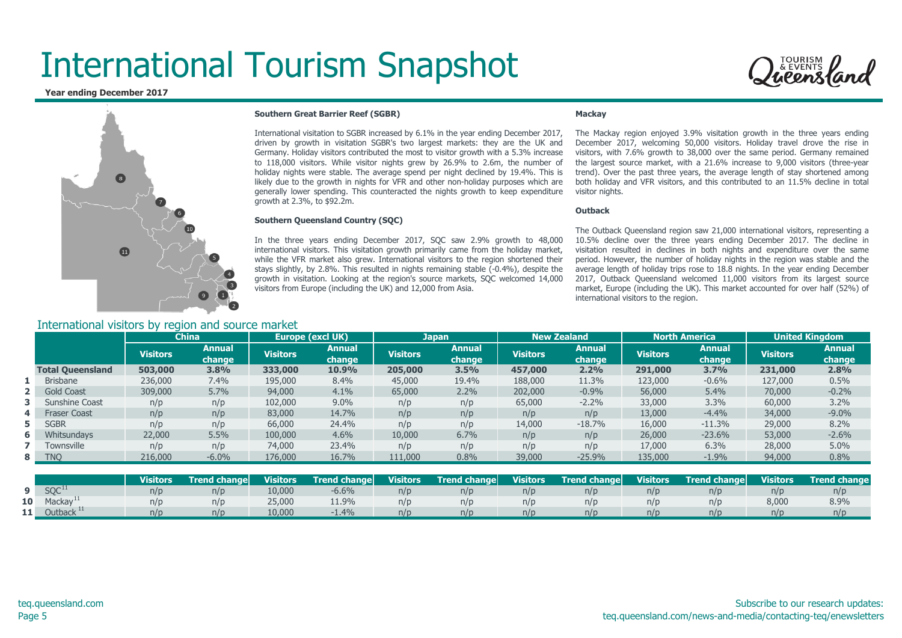**Year ending December 2017**



#### **Southern Great Barrier Reef (SGBR)**

International visitation to SGBR increased by 6.1% in the year ending December 2017, driven by growth in visitation SGBR's two largest markets: they are the UK and Germany. Holiday visitors contributed the most to visitor growth with a 5.3% increase to 118,000 visitors. While visitor nights grew by 26.9% to 2.6m, the number of holiday nights were stable. The average spend per night declined by 19.4%. This is likely due to the growth in nights for VFR and other non-holiday purposes which are generally lower spending. This counteracted the nights growth to keep expenditure growth at 2.3%, to \$92.2m.

#### **Southern Queensland Country (SQC)**

In the three years ending December 2017, SQC saw 2.9% growth to 48,000 international visitors. This visitation growth primarily came from the holiday market, while the VFR market also grew. International visitors to the region shortened their stays slightly, by 2.8%. This resulted in nights remaining stable (-0.4%), despite the growth in visitation. Looking at the region's source markets, SQC welcomed 14,000 visitors from Europe (including the UK) and 12,000 from Asia.

#### **Mackay**

The Mackay region enjoyed 3.9% visitation growth in the three years ending December 2017, welcoming 50,000 visitors. Holiday travel drove the rise in visitors, with 7.6% growth to 38,000 over the same period. Germany remained the largest source market, with a 21.6% increase to 9,000 visitors (three-year trend). Over the past three years, the average length of stay shortened among both holiday and VFR visitors, and this contributed to an 11.5% decline in total visitor nights.

#### **Outback**

The Outback Queensland region saw 21,000 international visitors, representing a 10.5% decline over the three years ending December 2017. The decline in visitation resulted in declines in both nights and expenditure over the same period. However, the number of holiday nights in the region was stable and the average length of holiday trips rose to 18.8 nights. In the year ending December 2017, Outback Queensland welcomed 11,000 visitors from its largest source market, Europe (including the UK). This market accounted for over half (52%) of international visitors to the region.

| International visitors by region and source market |  |  |  |
|----------------------------------------------------|--|--|--|
|                                                    |  |  |  |
|                                                    |  |  |  |
|                                                    |  |  |  |

|   |                         | <b>China</b>    |                  | Europe (excl UK) |                  | <b>Japan</b>    |                  |                 | <b>New Zealand</b> | <b>North America</b> |                         | <b>United Kingdom</b> |                         |
|---|-------------------------|-----------------|------------------|------------------|------------------|-----------------|------------------|-----------------|--------------------|----------------------|-------------------------|-----------------------|-------------------------|
|   |                         | <b>Visitors</b> | Annual<br>change | <b>Visitors</b>  | Annual<br>change | <b>Visitors</b> | Annual<br>change | <b>Visitors</b> | Annual<br>change   | <b>Visitors</b>      | <b>Annual</b><br>change | <b>Visitors</b>       | <b>Annual</b><br>change |
|   | <b>Total Queensland</b> | 503,000         | 3.8%             | 333,000          | 10.9%            | 205,000         | 3.5%             | 457,000         | 2.2%               | 291,000              | 3.7%                    | 231,000               | 2.8%                    |
|   | <b>Brisbane</b>         | 236,000         | 7.4%             | 195,000          | 8.4%             | 45,000          | 19.4%            | 188,000         | 11.3%              | 123,000              | $-0.6%$                 | 127,000               | 0.5%                    |
|   | <b>Gold Coast</b>       | 309,000         | 5.7%             | 94,000           | 4.1%             | 65,000          | 2.2%             | 202,000         | $-0.9%$            | 56,000               | 5.4%                    | 70,000                | $-0.2%$                 |
|   | <b>3</b> Sunshine Coast | n/p             | n/p              | 102,000          | 9.0%             | n/p             | n/p              | 65,000          | $-2.2%$            | 33,000               | 3.3%                    | 60,000                | 3.2%                    |
| 4 | <b>Fraser Coast</b>     | n/p             | n/p              | 83,000           | 14.7%            | n/p             | n/p              | n/p             | n/p                | 13,000               | $-4.4%$                 | 34,000                | $-9.0%$                 |
|   | 5 SGBR                  | n/p             | n/p              | 66,000           | 24.4%            | n/p             | n/p              | 14,000          | $-18.7%$           | 16,000               | $-11.3%$                | 29,000                | 8.2%                    |
| 6 | Whitsundays             | 22,000          | 5.5%             | 100,000          | 4.6%             | 10,000          | 6.7%             | n/p             | n/p                | 26,000               | $-23.6%$                | 53,000                | $-2.6%$                 |
|   | Townsville              | n/p             | n/p              | 74,000           | 23.4%            | n/p             | n/p              | n/p             | n/p                | 17,000               | 6.3%                    | 28,000                | 5.0%                    |
|   | 8 TNO                   | 216,000         | $-6.0%$          | 176,000          | 16.7%            | 111,000         | 0.8%             | 39,000          | $-25.9%$           | 135,000              | $-1.9%$                 | 94,000                | 0.8%                    |

|                 |                      | <b>Visitors</b> | Trend change | <b>Visitors</b> | <b>Trend changel</b> | <b>Visitors</b> | <b>Trend change</b> | <b>Visitors</b> | <b>Trend changel</b> | <b>Visitors</b> | Trend change | <b>Visitors</b> | <b>Trend change</b> |
|-----------------|----------------------|-----------------|--------------|-----------------|----------------------|-----------------|---------------------|-----------------|----------------------|-----------------|--------------|-----------------|---------------------|
|                 | SQC <sup>11</sup>    | n/p             | n/p          | 10,000          | $-6.6%$              | n/p             | n/p                 | $\eta/L$        | n/p                  | n/p             | n/p          |                 | n/p                 |
| 10 <sup>1</sup> | Mackay <sup>11</sup> | n/p             | n/p          | 25,000          | 11.9%                | n/p             | n/c                 |                 | n/p                  | n/p             | n/p          | 8,000           | 8.9%                |
| . .             | Outback              | n/p             | n/p          | 10,000          | 1.4%                 | n/p             | n/p                 | n/r             | n/p                  | n/p             | n/n          |                 | n/p                 |